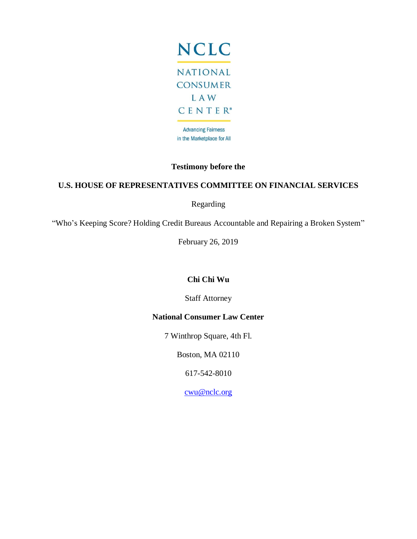

# **Testimony before the**

### **U.S. HOUSE OF REPRESENTATIVES COMMITTEE ON FINANCIAL SERVICES**

Regarding

"Who's Keeping Score? Holding Credit Bureaus Accountable and Repairing a Broken System"

February 26, 2019

### **Chi Chi Wu**

Staff Attorney

### **National Consumer Law Center**

7 Winthrop Square, 4th Fl.

Boston, MA 02110

617-542-8010

[cwu@nclc.org](mailto:cwu@nclc.org)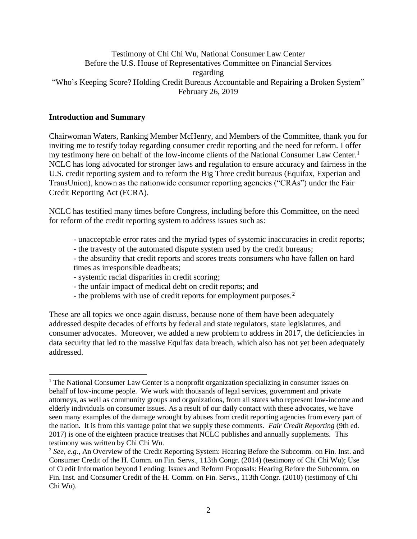#### Testimony of Chi Chi Wu, National Consumer Law Center Before the U.S. House of Representatives Committee on Financial Services regarding "Who's Keeping Score? Holding Credit Bureaus Accountable and Repairing a Broken System" February 26, 2019

#### **Introduction and Summary**

 $\overline{a}$ 

Chairwoman Waters, Ranking Member McHenry, and Members of the Committee, thank you for inviting me to testify today regarding consumer credit reporting and the need for reform. I offer my testimony here on behalf of the low-income clients of the National Consumer Law Center.<sup>1</sup> NCLC has long advocated for stronger laws and regulation to ensure accuracy and fairness in the U.S. credit reporting system and to reform the Big Three credit bureaus (Equifax, Experian and TransUnion), known as the nationwide consumer reporting agencies ("CRAs") under the Fair Credit Reporting Act (FCRA).

NCLC has testified many times before Congress, including before this Committee, on the need for reform of the credit reporting system to address issues such as:

- unacceptable error rates and the myriad types of systemic inaccuracies in credit reports;
- the travesty of the automated dispute system used by the credit bureaus;
- the absurdity that credit reports and scores treats consumers who have fallen on hard times as irresponsible deadbeats;
- systemic racial disparities in credit scoring;
- the unfair impact of medical debt on credit reports; and
- the problems with use of credit reports for employment purposes.<sup>2</sup>

These are all topics we once again discuss, because none of them have been adequately addressed despite decades of efforts by federal and state regulators, state legislatures, and consumer advocates. Moreover, we added a new problem to address in 2017, the deficiencies in data security that led to the massive Equifax data breach, which also has not yet been adequately addressed.

<sup>&</sup>lt;sup>1</sup> The National Consumer Law Center is a nonprofit organization specializing in consumer issues on behalf of low-income people. We work with thousands of legal services, government and private attorneys, as well as community groups and organizations, from all states who represent low-income and elderly individuals on consumer issues. As a result of our daily contact with these advocates, we have seen many examples of the damage wrought by abuses from credit reporting agencies from every part of the nation. It is from this vantage point that we supply these comments. *Fair Credit Reporting* (9th ed. 2017) is one of the eighteen practice treatises that NCLC publishes and annually supplements. This testimony was written by Chi Chi Wu.

<sup>2</sup> *See, e.g.,* An Overview of the Credit Reporting System: Hearing Before the Subcomm. on Fin. Inst. and Consumer Credit of the H. Comm. on Fin. Servs., 113th Congr. (2014) (testimony of Chi Chi Wu); Use of Credit Information beyond Lending: Issues and Reform Proposals: Hearing Before the Subcomm. on Fin. Inst. and Consumer Credit of the H. Comm. on Fin. Servs., 113th Congr. (2010) (testimony of Chi Chi Wu).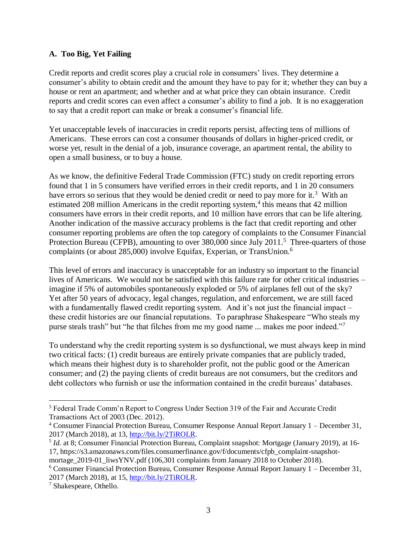#### **A. Too Big, Yet Failing**

Credit reports and credit scores play a crucial role in consumers' lives. They determine a consumer's ability to obtain credit and the amount they have to pay for it; whether they can buy a house or rent an apartment; and whether and at what price they can obtain insurance. Credit reports and credit scores can even affect a consumer's ability to find a job. It is no exaggeration to say that a credit report can make or break a consumer's financial life.

Yet unacceptable levels of inaccuracies in credit reports persist, affecting tens of millions of Americans. These errors can cost a consumer thousands of dollars in higher-priced credit, or worse yet, result in the denial of a job, insurance coverage, an apartment rental, the ability to open a small business, or to buy a house.

As we know, the definitive Federal Trade Commission (FTC) study on credit reporting errors found that 1 in 5 consumers have verified errors in their credit reports, and 1 in 20 consumers have errors so serious that they would be denied credit or need to pay more for it.<sup>3</sup> With an estimated 208 million Americans in the credit reporting system, $4$  this means that 42 million consumers have errors in their credit reports, and 10 million have errors that can be life altering. Another indication of the massive accuracy problems is the fact that credit reporting and other consumer reporting problems are often the top category of complaints to the Consumer Financial Protection Bureau (CFPB), amounting to over 380,000 since July 2011.<sup>5</sup> Three-quarters of those complaints (or about 285,000) involve Equifax, Experian, or TransUnion. 6

This level of errors and inaccuracy is unacceptable for an industry so important to the financial lives of Americans. We would not be satisfied with this failure rate for other critical industries – imagine if 5% of automobiles spontaneously exploded or 5% of airplanes fell out of the sky? Yet after 50 years of advocacy, legal changes, regulation, and enforcement, we are still faced with a fundamentally flawed credit reporting system. And it's not just the financial impact – these credit histories are our financial reputations. To paraphrase Shakespeare "Who steals my purse steals trash" but "he that filches from me my good name ... makes me poor indeed."<sup>7</sup>

To understand why the credit reporting system is so dysfunctional, we must always keep in mind two critical facts: (1) credit bureaus are entirely private companies that are publicly traded, which means their highest duty is to shareholder profit, not the public good or the American consumer; and (2) the paying clients of credit bureaus are not consumers, but the creditors and debt collectors who furnish or use the information contained in the credit bureaus' databases.

<sup>3</sup> Federal Trade Comm'n Report to Congress Under Section 319 of the Fair and Accurate Credit Transactions Act of 2003 (Dec. 2012).

<sup>4</sup> Consumer Financial Protection Bureau, Consumer Response Annual Report January 1 – December 31, 2017 (March 2018), at 13, [http://bit.ly/2TiROLR.](http://bit.ly/2TiROLR)

<sup>&</sup>lt;sup>5</sup> *Id.* at 8; Consumer Financial Protection Bureau, Complaint snapshot: Mortgage (January 2019), at 16-17, https://s3.amazonaws.com/files.consumerfinance.gov/f/documents/cfpb\_complaint-snapshotmortage\_2019-01\_liwsYNV.pdf (106,301 complaints from January 2018 to October 2018).

 $6$  Consumer Financial Protection Bureau, Consumer Response Annual Report January 1 – December 31, 2017 (March 2018), at 15, [http://bit.ly/2TiROLR.](http://bit.ly/2TiROLR)

<sup>7</sup> Shakespeare, Othello.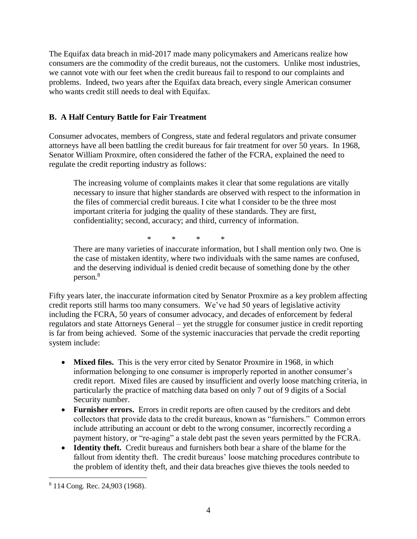The Equifax data breach in mid-2017 made many policymakers and Americans realize how consumers are the commodity of the credit bureaus, not the customers. Unlike most industries, we cannot vote with our feet when the credit bureaus fail to respond to our complaints and problems. Indeed, two years after the Equifax data breach, every single American consumer who wants credit still needs to deal with Equifax.

### **B. A Half Century Battle for Fair Treatment**

Consumer advocates, members of Congress, state and federal regulators and private consumer attorneys have all been battling the credit bureaus for fair treatment for over 50 years. In 1968, Senator William Proxmire, often considered the father of the FCRA, explained the need to regulate the credit reporting industry as follows:

The increasing volume of complaints makes it clear that some regulations are vitally necessary to insure that higher standards are observed with respect to the information in the files of commercial credit bureaus. I cite what I consider to be the three most important criteria for judging the quality of these standards. They are first, confidentiality; second, accuracy; and third, currency of information.

\* \* \* \*

There are many varieties of inaccurate information, but I shall mention only two. One is the case of mistaken identity, where two individuals with the same names are confused, and the deserving individual is denied credit because of something done by the other person.<sup>8</sup>

Fifty years later, the inaccurate information cited by Senator Proxmire as a key problem affecting credit reports still harms too many consumers. We've had 50 years of legislative activity including the FCRA, 50 years of consumer advocacy, and decades of enforcement by federal regulators and state Attorneys General – yet the struggle for consumer justice in credit reporting is far from being achieved. Some of the systemic inaccuracies that pervade the credit reporting system include:

- **Mixed files.** This is the very error cited by Senator Proxmire in 1968, in which information belonging to one consumer is improperly reported in another consumer's credit report. Mixed files are caused by insufficient and overly loose matching criteria, in particularly the practice of matching data based on only 7 out of 9 digits of a Social Security number.
- **Furnisher errors.** Errors in credit reports are often caused by the creditors and debt collectors that provide data to the credit bureaus, known as "furnishers." Common errors include attributing an account or debt to the wrong consumer, incorrectly recording a payment history, or "re-aging" a stale debt past the seven years permitted by the FCRA.
- **Identity theft.** Credit bureaus and furnishers both bear a share of the blame for the fallout from identity theft. The credit bureaus' loose matching procedures contribute to the problem of identity theft, and their data breaches give thieves the tools needed to

<sup>8</sup> 114 Cong. Rec. 24,903 (1968).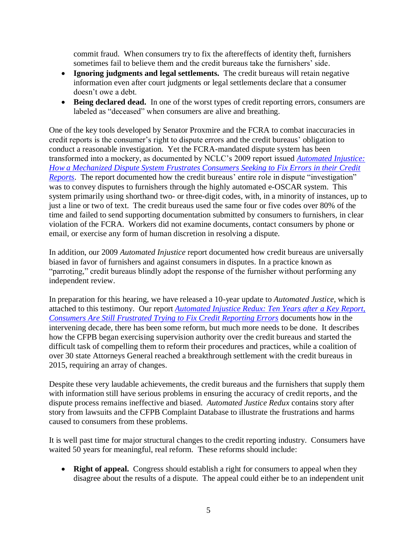commit fraud. When consumers try to fix the aftereffects of identity theft, furnishers sometimes fail to believe them and the credit bureaus take the furnishers' side.

- **Ignoring judgments and legal settlements.** The credit bureaus will retain negative information even after court judgments or legal settlements declare that a consumer doesn't owe a debt.
- **Being declared dead.** In one of the worst types of credit reporting errors, consumers are labeled as "deceased" when consumers are alive and breathing.

One of the key tools developed by Senator Proxmire and the FCRA to combat inaccuracies in credit reports is the consumer's right to dispute errors and the credit bureaus' obligation to conduct a reasonable investigation. Yet the FCRA-mandated dispute system has been transformed into a mockery, as documented by NCLC's 2009 report issued *[Automated Injustice:](https://www.nclc.org/images/pdf/pr-reports/report-automated_injustice.pdf)  [How a Mechanized Dispute System Frustrates Consumers Seeking to Fix Errors in their Credit](https://www.nclc.org/images/pdf/pr-reports/report-automated_injustice.pdf)  [Reports](https://www.nclc.org/images/pdf/pr-reports/report-automated_injustice.pdf)*. The report documented how the credit bureaus' entire role in dispute "investigation" was to convey disputes to furnishers through the highly automated e-OSCAR system. This system primarily using shorthand two- or three-digit codes, with, in a minority of instances, up to just a line or two of text. The credit bureaus used the same four or five codes over 80% of the time and failed to send supporting documentation submitted by consumers to furnishers, in clear violation of the FCRA. Workers did not examine documents, contact consumers by phone or email, or exercise any form of human discretion in resolving a dispute.

In addition, our 2009 *Automated Injustice* report documented how credit bureaus are universally biased in favor of furnishers and against consumers in disputes. In a practice known as "parroting," credit bureaus blindly adopt the response of the furnisher without performing any independent review.

In preparation for this hearing, we have released a 10-year update to *Automated Justice*, which is attached to this testimony. Our report *[Automated Injustice Redux: Ten](https://bit.ly/ajustre) Years after a Key Report, [Consumers Are Still Frustrated Trying to](https://bit.ly/ajustre) Fix Credit Reporting Errors* documents how in the intervening decade, there has been some reform, but much more needs to be done. It describes how the CFPB began exercising supervision authority over the credit bureaus and started the difficult task of compelling them to reform their procedures and practices, while a coalition of over 30 state Attorneys General reached a breakthrough settlement with the credit bureaus in 2015, requiring an array of changes.

Despite these very laudable achievements, the credit bureaus and the furnishers that supply them with information still have serious problems in ensuring the accuracy of credit reports, and the dispute process remains ineffective and biased. *Automated Justice Redux* contains story after story from lawsuits and the CFPB Complaint Database to illustrate the frustrations and harms caused to consumers from these problems.

It is well past time for major structural changes to the credit reporting industry. Consumers have waited 50 years for meaningful, real reform. These reforms should include:

• **Right of appeal.** Congress should establish a right for consumers to appeal when they disagree about the results of a dispute. The appeal could either be to an independent unit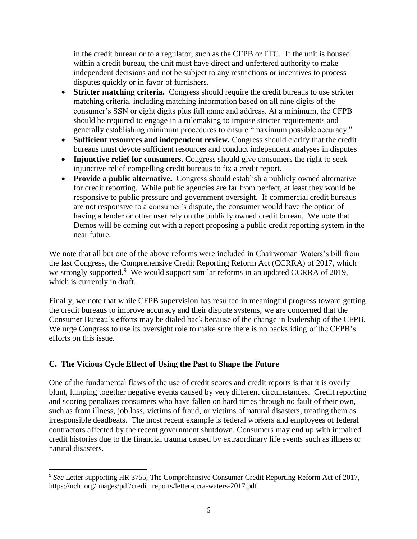in the credit bureau or to a regulator, such as the CFPB or FTC. If the unit is housed within a credit bureau, the unit must have direct and unfettered authority to make independent decisions and not be subject to any restrictions or incentives to process disputes quickly or in favor of furnishers.

- **Stricter matching criteria.** Congress should require the credit bureaus to use stricter matching criteria, including matching information based on all nine digits of the consumer's SSN or eight digits plus full name and address. At a minimum, the CFPB should be required to engage in a rulemaking to impose stricter requirements and generally establishing minimum procedures to ensure "maximum possible accuracy."
- **Sufficient resources and independent review.** Congress should clarify that the credit bureaus must devote sufficient resources and conduct independent analyses in disputes
- **Injunctive relief for consumers**. Congress should give consumers the right to seek injunctive relief compelling credit bureaus to fix a credit report.
- **Provide a public alternative.** Congress should establish a publicly owned alternative for credit reporting. While public agencies are far from perfect, at least they would be responsive to public pressure and government oversight. If commercial credit bureaus are not responsive to a consumer's dispute, the consumer would have the option of having a lender or other user rely on the publicly owned credit bureau. We note that Demos will be coming out with a report proposing a public credit reporting system in the near future.

We note that all but one of the above reforms were included in Chairwoman Waters's bill from the last Congress, the Comprehensive Credit Reporting Reform Act (CCRRA) of 2017, which we strongly supported.<sup>9</sup> We would support similar reforms in an updated CCRRA of 2019, which is currently in draft.

Finally, we note that while CFPB supervision has resulted in meaningful progress toward getting the credit bureaus to improve accuracy and their dispute systems, we are concerned that the Consumer Bureau's efforts may be dialed back because of the change in leadership of the CFPB. We urge Congress to use its oversight role to make sure there is no backsliding of the CFPB's efforts on this issue.

### **C. The Vicious Cycle Effect of Using the Past to Shape the Future**

 $\overline{a}$ 

One of the fundamental flaws of the use of credit scores and credit reports is that it is overly blunt, lumping together negative events caused by very different circumstances. Credit reporting and scoring penalizes consumers who have fallen on hard times through no fault of their own, such as from illness, job loss, victims of fraud, or victims of natural disasters, treating them as irresponsible deadbeats. The most recent example is federal workers and employees of federal contractors affected by the recent government shutdown. Consumers may end up with impaired credit histories due to the financial trauma caused by extraordinary life events such as illness or natural disasters.

<sup>&</sup>lt;sup>9</sup> See Letter supporting HR 3755, The Comprehensive Consumer Credit Reporting Reform Act of 2017, https://nclc.org/images/pdf/credit\_reports/letter-ccra-waters-2017.pdf.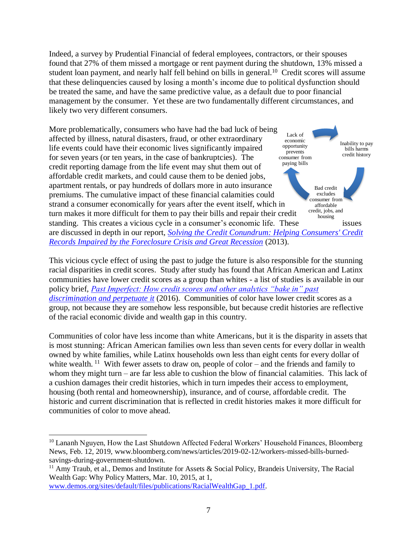Indeed, a survey by Prudential Financial of federal employees, contractors, or their spouses found that 27% of them missed a mortgage or rent payment during the shutdown, 13% missed a student loan payment, and nearly half fell behind on bills in general.<sup>10</sup> Credit scores will assume that these delinquencies caused by losing a month's income due to political dysfunction should be treated the same, and have the same predictive value, as a default due to poor financial management by the consumer. Yet these are two fundamentally different circumstances, and likely two very different consumers.

Inability to pay bills harms credit history Bad credit excludes consumer from affordable credit, jobs, and housing Lack of economic opportunity prevents consumer from paying bills More problematically, consumers who have had the bad luck of being affected by illness, natural disasters, fraud, or other extraordinary life events could have their economic lives significantly impaired for seven years (or ten years, in the case of bankruptcies). The credit reporting damage from the life event may shut them out of affordable credit markets, and could cause them to be denied jobs, apartment rentals, or pay hundreds of dollars more in auto insurance premiums. The cumulative impact of these financial calamities could strand a consumer economically for years after the event itself, which in turn makes it more difficult for them to pay their bills and repair their credit standing. This creates a vicious cycle in a consumer's economic life. These issues are discussed in depth in our report, *Solving the [Credit Conundrum: Helping Consumers' Credit](http://www.nclc.org/images/pdf/credit_reports/report-credit-conundrum-2013.pdf)  [Records Impaired by the Foreclosure Crisis and Great Recession](http://www.nclc.org/images/pdf/credit_reports/report-credit-conundrum-2013.pdf)* (2013).

This vicious cycle effect of using the past to judge the future is also responsible for the stunning racial disparities in credit scores. Study after study has found that African American and Latinx communities have lower credit scores as a group than whites - a list of studies is available in our policy brief, *[Past Imperfect: How credit scores and other analytics "bake in" past](http://www.nclc.org/images/pdf/credit_discrimination/Past_Imperfect050616.pdf)  [discrimination and perpetuate it](http://www.nclc.org/images/pdf/credit_discrimination/Past_Imperfect050616.pdf)* (2016). Communities of color have lower credit scores as a group, not because they are somehow less responsible, but because credit histories are reflective of the racial economic divide and wealth gap in this country.

Communities of color have less income than white Americans, but it is the disparity in assets that is most stunning: African American families own less than seven cents for every dollar in wealth owned by white families, while Latinx households own less than eight cents for every dollar of white wealth.<sup>11</sup> With fewer assets to draw on, people of color – and the friends and family to whom they might turn – are far less able to cushion the blow of financial calamities. This lack of a cushion damages their credit histories, which in turn impedes their access to employment, housing (both rental and homeownership), insurance, and of course, affordable credit. The historic and current discrimination that is reflected in credit histories makes it more difficult for communities of color to move ahead.

[www.demos.org/sites/default/files/publications/RacialWealthGap\\_1.pdf.](file:///C:/Users/carolyn/Downloads/www.demos.org/sites/default/files/publications/RacialWealthGap_1.pdf)

<sup>&</sup>lt;sup>10</sup> Lananh Nguyen, How the Last Shutdown Affected Federal Workers' Household Finances, Bloomberg News, Feb. 12, 2019, www.bloomberg.com/news/articles/2019-02-12/workers-missed-bills-burnedsavings-during-government-shutdown.

 $11$  Amy Traub, et al., Demos and Institute for Assets & Social Policy, Brandeis University, The Racial Wealth Gap: Why Policy Matters, Mar. 10, 2015, at 1,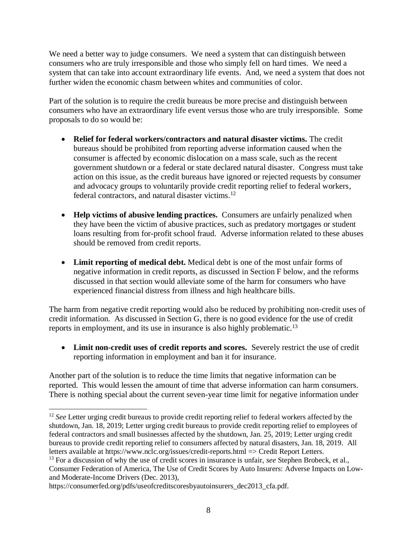We need a better way to judge consumers. We need a system that can distinguish between consumers who are truly irresponsible and those who simply fell on hard times. We need a system that can take into account extraordinary life events. And, we need a system that does not further widen the economic chasm between whites and communities of color.

Part of the solution is to require the credit bureaus be more precise and distinguish between consumers who have an extraordinary life event versus those who are truly irresponsible. Some proposals to do so would be:

- **Relief for federal workers/contractors and natural disaster victims.** The credit bureaus should be prohibited from reporting adverse information caused when the consumer is affected by economic dislocation on a mass scale, such as the recent government shutdown or a federal or state declared natural disaster. Congress must take action on this issue, as the credit bureaus have ignored or rejected requests by consumer and advocacy groups to voluntarily provide credit reporting relief to federal workers, federal contractors, and natural disaster victims. 12
- **Help victims of abusive lending practices.** Consumers are unfairly penalized when they have been the victim of abusive practices, such as predatory mortgages or student loans resulting from for-profit school fraud. Adverse information related to these abuses should be removed from credit reports.
- **Limit reporting of medical debt.** Medical debt is one of the most unfair forms of negative information in credit reports, as discussed in Section F below, and the reforms discussed in that section would alleviate some of the harm for consumers who have experienced financial distress from illness and high healthcare bills.

The harm from negative credit reporting would also be reduced by prohibiting non-credit uses of credit information. As discussed in Section G, there is no good evidence for the use of credit reports in employment, and its use in insurance is also highly problematic.<sup>13</sup>

• **Limit non-credit uses of credit reports and scores.** Severely restrict the use of credit reporting information in employment and ban it for insurance.

Another part of the solution is to reduce the time limits that negative information can be reported. This would lessen the amount of time that adverse information can harm consumers. There is nothing special about the current seven-year time limit for negative information under

<sup>&</sup>lt;sup>12</sup> See Letter urging credit bureaus to provide credit reporting relief to federal workers affected by the shutdown, Jan. 18, 2019; Letter urging credit bureaus to provide credit reporting relief to employees of federal contractors and small businesses affected by the shutdown, Jan. 25, 2019; Letter urging credit bureaus to provide credit reporting relief to consumers affected by natural disasters, Jan. 18, 2019. All letters available at https://www.nclc.org/issues/credit-reports.html => Credit Report Letters.

<sup>&</sup>lt;sup>13</sup> For a discussion of why the use of credit scores in insurance is unfair, *see* Stephen Brobeck, et al., Consumer Federation of America, The Use of Credit Scores by Auto Insurers: Adverse Impacts on Lowand Moderate-Income Drivers (Dec. 2013),

https://consumerfed.org/pdfs/useofcreditscoresbyautoinsurers\_dec2013\_cfa.pdf.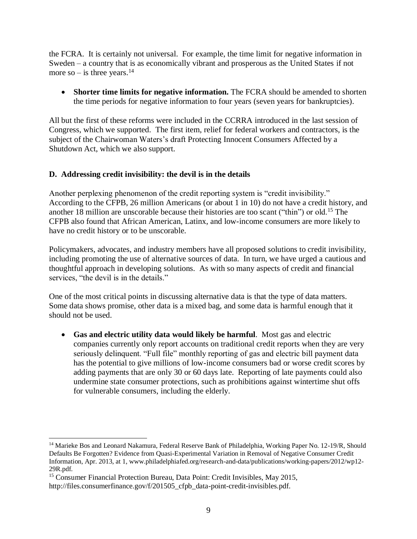the FCRA. It is certainly not universal. For example, the time limit for negative information in Sweden – a country that is as economically vibrant and prosperous as the United States if not more so – is three years.<sup>14</sup>

• **Shorter time limits for negative information.** The FCRA should be amended to shorten the time periods for negative information to four years (seven years for bankruptcies).

All but the first of these reforms were included in the CCRRA introduced in the last session of Congress, which we supported. The first item, relief for federal workers and contractors, is the subject of the Chairwoman Waters's draft Protecting Innocent Consumers Affected by a Shutdown Act, which we also support.

### **D. Addressing credit invisibility: the devil is in the details**

Another perplexing phenomenon of the credit reporting system is "credit invisibility." According to the CFPB, 26 million Americans (or about 1 in 10) do not have a credit history, and another 18 million are unscorable because their histories are too scant ("thin") or old.<sup>15</sup> The CFPB also found that African American, Latinx, and low-income consumers are more likely to have no credit history or to be unscorable.

Policymakers, advocates, and industry members have all proposed solutions to credit invisibility, including promoting the use of alternative sources of data. In turn, we have urged a cautious and thoughtful approach in developing solutions. As with so many aspects of credit and financial services, "the devil is in the details."

One of the most critical points in discussing alternative data is that the type of data matters. Some data shows promise, other data is a mixed bag, and some data is harmful enough that it should not be used.

• **Gas and electric utility data would likely be harmful**. Most gas and electric companies currently only report accounts on traditional credit reports when they are very seriously delinquent. "Full file" monthly reporting of gas and electric bill payment data has the potential to give millions of low-income consumers bad or worse credit scores by adding payments that are only 30 or 60 days late. Reporting of late payments could also undermine state consumer protections, such as prohibitions against wintertime shut offs for vulnerable consumers, including the elderly.

<sup>&</sup>lt;sup>14</sup> Marieke Bos and Leonard Nakamura, Federal Reserve Bank of Philadelphia, Working Paper No. 12-19/R, Should Defaults Be Forgotten? Evidence from Quasi-Experimental Variation in Removal of Negative Consumer Credit Information, Apr. 2013, at 1, www.philadelphiafed.org/research-and-data/publications/working-papers/2012/wp12- 29R.pdf.

<sup>&</sup>lt;sup>15</sup> Consumer Financial Protection Bureau, Data Point: Credit Invisibles, May 2015,

http://files.consumerfinance.gov/f/201505\_cfpb\_data-point-credit-invisibles.pdf.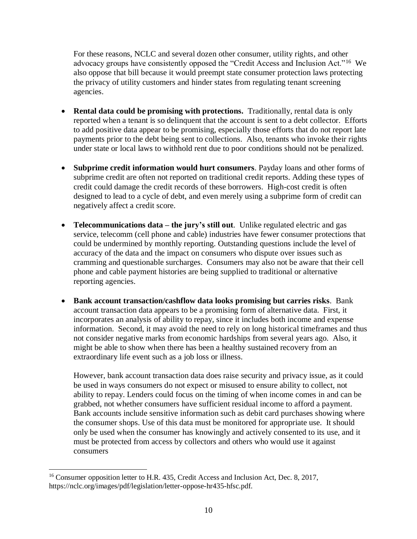For these reasons, NCLC and several dozen other consumer, utility rights, and other advocacy groups have consistently opposed the "Credit Access and Inclusion Act."<sup>16</sup> We also oppose that bill because it would preempt state consumer protection laws protecting the privacy of utility customers and hinder states from regulating tenant screening agencies.

- **Rental data could be promising with protections.** Traditionally, rental data is only reported when a tenant is so delinquent that the account is sent to a debt collector. Efforts to add positive data appear to be promising, especially those efforts that do not report late payments prior to the debt being sent to collections. Also, tenants who invoke their rights under state or local laws to withhold rent due to poor conditions should not be penalized.
- **Subprime credit information would hurt consumers**. Payday loans and other forms of subprime credit are often not reported on traditional credit reports. Adding these types of credit could damage the credit records of these borrowers. High-cost credit is often designed to lead to a cycle of debt, and even merely using a subprime form of credit can negatively affect a credit score.
- **Telecommunications data** the jury's still out. Unlike regulated electric and gas service, telecomm (cell phone and cable) industries have fewer consumer protections that could be undermined by monthly reporting. Outstanding questions include the level of accuracy of the data and the impact on consumers who dispute over issues such as cramming and questionable surcharges. Consumers may also not be aware that their cell phone and cable payment histories are being supplied to traditional or alternative reporting agencies.
- **Bank account transaction/cashflow data looks promising but carries risks**. Bank account transaction data appears to be a promising form of alternative data. First, it incorporates an analysis of ability to repay, since it includes both income and expense information. Second, it may avoid the need to rely on long historical timeframes and thus not consider negative marks from economic hardships from several years ago. Also, it might be able to show when there has been a healthy sustained recovery from an extraordinary life event such as a job loss or illness.

However, bank account transaction data does raise security and privacy issue, as it could be used in ways consumers do not expect or misused to ensure ability to collect, not ability to repay. Lenders could focus on the timing of when income comes in and can be grabbed, not whether consumers have sufficient residual income to afford a payment. Bank accounts include sensitive information such as debit card purchases showing where the consumer shops. Use of this data must be monitored for appropriate use. It should only be used when the consumer has knowingly and actively consented to its use, and it must be protected from access by collectors and others who would use it against consumers

<sup>&</sup>lt;sup>16</sup> Consumer opposition letter to H.R. 435, Credit Access and Inclusion Act, Dec. 8, 2017, https://nclc.org/images/pdf/legislation/letter-oppose-hr435-hfsc.pdf.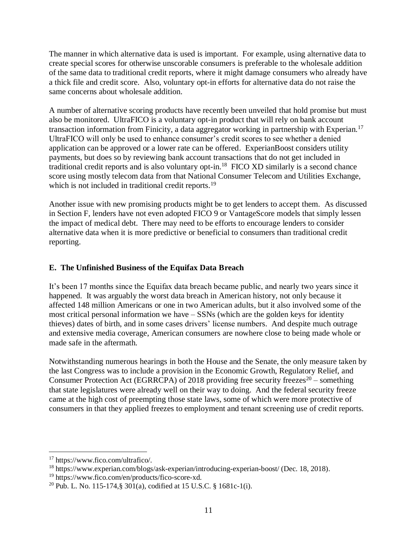The manner in which alternative data is used is important. For example, using alternative data to create special scores for otherwise unscorable consumers is preferable to the wholesale addition of the same data to traditional credit reports, where it might damage consumers who already have a thick file and credit score. Also, voluntary opt-in efforts for alternative data do not raise the same concerns about wholesale addition.

A number of alternative scoring products have recently been unveiled that hold promise but must also be monitored. UltraFICO is a voluntary opt-in product that will rely on bank account transaction information from Finicity, a data aggregator working in partnership with Experian.<sup>17</sup> UltraFICO will only be used to enhance consumer's credit scores to see whether a denied application can be approved or a lower rate can be offered. ExperianBoost considers utility payments, but does so by reviewing bank account transactions that do not get included in traditional credit reports and is also voluntary opt-in.<sup>18</sup> FICO XD similarly is a second chance score using mostly telecom data from that National Consumer Telecom and Utilities Exchange, which is not included in traditional credit reports.<sup>19</sup>

Another issue with new promising products might be to get lenders to accept them. As discussed in Section F, lenders have not even adopted FICO 9 or VantageScore models that simply lessen the impact of medical debt. There may need to be efforts to encourage lenders to consider alternative data when it is more predictive or beneficial to consumers than traditional credit reporting.

### **E. The Unfinished Business of the Equifax Data Breach**

It's been 17 months since the Equifax data breach became public, and nearly two years since it happened. It was arguably the worst data breach in American history, not only because it affected 148 million Americans or one in two American adults, but it also involved some of the most critical personal information we have – SSNs (which are the golden keys for identity thieves) dates of birth, and in some cases drivers' license numbers. And despite much outrage and extensive media coverage, American consumers are nowhere close to being made whole or made safe in the aftermath.

Notwithstanding numerous hearings in both the House and the Senate, the only measure taken by the last Congress was to include a provision in the Economic Growth, Regulatory Relief, and Consumer Protection Act (EGRRCPA) of 2018 providing free security freezes<sup>20</sup> – something that state legislatures were already well on their way to doing. And the federal security freeze came at the high cost of preempting those state laws, some of which were more protective of consumers in that they applied freezes to employment and tenant screening use of credit reports.

 $\overline{a}$ <sup>17</sup> https://www.fico.com/ultrafico/.

<sup>18</sup> https://www.experian.com/blogs/ask-experian/introducing-experian-boost/ (Dec. 18, 2018).

<sup>19</sup> https://www.fico.com/en/products/fico-score-xd.

<sup>&</sup>lt;sup>20</sup> Pub. L. No. 115-174, § 301(a), codified at 15 U.S.C. § 1681c-1(i).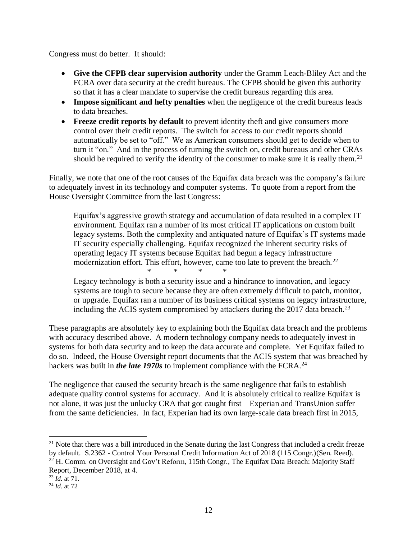Congress must do better. It should:

- **Give the CFPB clear supervision authority** under the Gramm Leach-Bliley Act and the FCRA over data security at the credit bureaus. The CFPB should be given this authority so that it has a clear mandate to supervise the credit bureaus regarding this area.
- **Impose significant and hefty penalties** when the negligence of the credit bureaus leads to data breaches.
- **Freeze credit reports by default** to prevent identity theft and give consumers more control over their credit reports. The switch for access to our credit reports should automatically be set to "off." We as American consumers should get to decide when to turn it "on." And in the process of turning the switch on, credit bureaus and other CRAs should be required to verify the identity of the consumer to make sure it is really them.<sup>21</sup>

Finally, we note that one of the root causes of the Equifax data breach was the company's failure to adequately invest in its technology and computer systems. To quote from a report from the House Oversight Committee from the last Congress:

Equifax's aggressive growth strategy and accumulation of data resulted in a complex IT environment. Equifax ran a number of its most critical IT applications on custom built legacy systems. Both the complexity and antiquated nature of Equifax's IT systems made IT security especially challenging. Equifax recognized the inherent security risks of operating legacy IT systems because Equifax had begun a legacy infrastructure modernization effort. This effort, however, came too late to prevent the breach. $^{22}$ 

\* \* \* \* Legacy technology is both a security issue and a hindrance to innovation, and legacy systems are tough to secure because they are often extremely difficult to patch, monitor, or upgrade. Equifax ran a number of its business critical systems on legacy infrastructure, including the ACIS system compromised by attackers during the 2017 data breach.<sup>23</sup>

These paragraphs are absolutely key to explaining both the Equifax data breach and the problems with accuracy described above. A modern technology company needs to adequately invest in systems for both data security and to keep the data accurate and complete. Yet Equifax failed to do so. Indeed, the House Oversight report documents that the ACIS system that was breached by hackers was built in *the late 1970s* to implement compliance with the FCRA.<sup>24</sup>

The negligence that caused the security breach is the same negligence that fails to establish adequate quality control systems for accuracy. And it is absolutely critical to realize Equifax is not alone, it was just the unlucky CRA that got caught first – Experian and TransUnion suffer from the same deficiencies. In fact, Experian had its own large-scale data breach first in 2015,

<sup>&</sup>lt;sup>21</sup> Note that there was a bill introduced in the Senate during the last Congress that included a credit freeze by default. S.2362 - Control Your Personal Credit Information Act of 2018 (115 Congr.)(Sen. Reed).  $^{22}$  H. Comm. on Oversight and Gov't Reform, 115th Congr., The Equifax Data Breach: Majority Staff Report, December 2018, at 4.

 $^{23}$   $\tilde{Id}$ , at 71.

<sup>24</sup> *Id.* at 72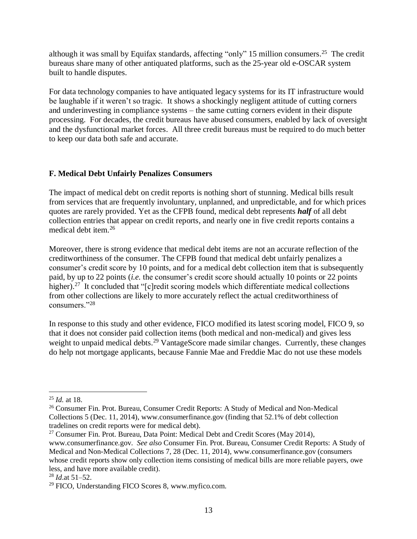although it was small by Equifax standards, affecting "only" 15 million consumers.<sup>25</sup> The credit bureaus share many of other antiquated platforms, such as the 25-year old e-OSCAR system built to handle disputes.

For data technology companies to have antiquated legacy systems for its IT infrastructure would be laughable if it weren't so tragic. It shows a shockingly negligent attitude of cutting corners and underinvesting in compliance systems – the same cutting corners evident in their dispute processing. For decades, the credit bureaus have abused consumers, enabled by lack of oversight and the dysfunctional market forces. All three credit bureaus must be required to do much better to keep our data both safe and accurate.

### **F. Medical Debt Unfairly Penalizes Consumers**

The impact of medical debt on credit reports is nothing short of stunning. Medical bills result from services that are frequently involuntary, unplanned, and unpredictable, and for which prices quotes are rarely provided. Yet as the CFPB found, medical debt represents *half* of all debt collection entries that appear on credit reports, and nearly one in five credit reports contains a medical debt item.<sup>26</sup>

Moreover, there is strong evidence that medical debt items are not an accurate reflection of the creditworthiness of the consumer. The CFPB found that medical debt unfairly penalizes a consumer's credit score by 10 points, and for a medical debt collection item that is subsequently paid, by up to 22 points (*i.e.* the consumer's credit score should actually 10 points or 22 points higher).<sup>27</sup> It concluded that "[c]redit scoring models which differentiate medical collections from other collections are likely to more accurately reflect the actual creditworthiness of consumers."<sup>28</sup>

In response to this study and other evidence, FICO modified its latest scoring model, FICO 9, so that it does not consider paid collection items (both medical and non-medical) and gives less weight to unpaid medical debts.<sup>29</sup> VantageScore made similar changes. Currently, these changes do help not mortgage applicants, because Fannie Mae and Freddie Mac do not use these models

 $\overline{a}$ <sup>25</sup> *Id.* at 18.

<sup>&</sup>lt;sup>26</sup> Consumer Fin. Prot. Bureau, Consumer Credit Reports: A Study of Medical and Non-Medical [Collections 5 \(Dec. 11, 2014\),](http://files.consumerfinance.gov/f/201412_cfpb_reports_consumer-credit-medical-and-non-medical-collections.pdf) www.consumerfinance.gov (finding that 52.1% of debt collection tradelines on credit reports were for medical debt).

<sup>&</sup>lt;sup>27</sup> Consumer Fin. Prot. Bureau, Data [Point: Medical Debt and Credit Scores \(May 2014\),](http://files.consumerfinance.gov/f/201405_cfpb_report_data-point_medical-debt-credit-scores.pdf)

www.consumerfinance.gov. *See also* [Consumer Fin. Prot. Bureau, Consumer Credit Reports: A Study of](http://files.consumerfinance.gov/f/201412_cfpb_reports_consumer-credit-medical-and-non-medical-collections.pdf)  [Medical and Non-Medical Collections 7, 28 \(Dec. 11, 2014\),](http://files.consumerfinance.gov/f/201412_cfpb_reports_consumer-credit-medical-and-non-medical-collections.pdf) www.consumerfinance.gov (consumers whose credit reports show only collection items consisting of medical bills are more reliable payers, owe less, and have more available credit).

<sup>28</sup> *Id*.at 51–52.

<sup>29</sup> FICO, Understanding FICO Scores 8, www.myfico.com.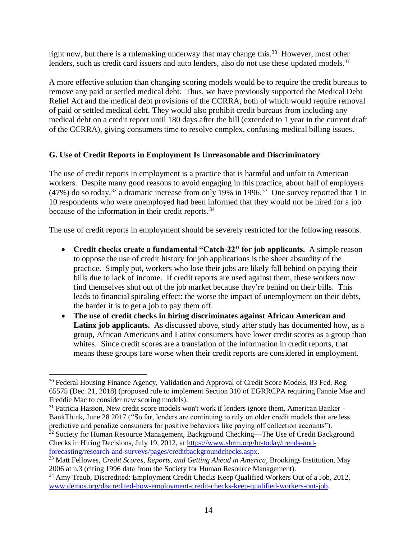right now, but there is a rulemaking underway that may change this.<sup>30</sup> However, most other lenders, such as credit card issuers and auto lenders, also do not use these updated models.<sup>31</sup>

A more effective solution than changing scoring models would be to require the credit bureaus to remove any paid or settled medical debt. Thus, we have previously supported the Medical Debt Relief Act and the medical debt provisions of the CCRRA, both of which would require removal of paid or settled medical debt. They would also prohibit credit bureaus from including any medical debt on a credit report until 180 days after the bill (extended to 1 year in the current draft of the CCRRA), giving consumers time to resolve complex, confusing medical billing issues.

## **G. Use of Credit Reports in Employment Is Unreasonable and Discriminatory**

The use of credit reports in employment is a practice that is harmful and unfair to American workers. Despite many good reasons to avoid engaging in this practice, about half of employers  $(47%)$  do so today,<sup>32</sup> a dramatic increase from only 19% in 1996.<sup>33</sup> One survey reported that 1 in 10 respondents who were unemployed had been informed that they would not be hired for a job because of the information in their credit reports.<sup>34</sup>

The use of credit reports in employment should be severely restricted for the following reasons.

- **Credit checks create a fundamental "Catch-22" for job applicants.** A simple reason to oppose the use of credit history for job applications is the sheer absurdity of the practice. Simply put, workers who lose their jobs are likely fall behind on paying their bills due to lack of income. If credit reports are used against them, these workers now find themselves shut out of the job market because they're behind on their bills. This leads to financial spiraling effect: the worse the impact of unemployment on their debts, the harder it is to get a job to pay them off.
- **The use of credit checks in hiring discriminates against African American and Latinx job applicants.** As discussed above, study after study has documented how, as a group, African Americans and Latinx consumers have lower credit scores as a group than whites. Since credit scores are a translation of the information in credit reports, that means these groups fare worse when their credit reports are considered in employment.

<sup>&</sup>lt;sup>30</sup> Federal Housing Finance Agency, Validation and Approval of Credit Score Models, 83 Fed. Reg. 65575 (Dec. 21, 2018) (proposed rule to implement Section 310 of EGRRCPA requiring Fannie Mae and Freddie Mac to consider new scoring models).

 $31$  Patricia Hasson, New credit score models won't work if lenders ignore them, American Banker -BankThink, June 28 2017 ("So far, lenders are continuing to rely on older credit models that are less predictive and penalize consumers for positive behaviors like paying off collection accounts").

<sup>&</sup>lt;sup>32</sup> Society for Human Resource Management, Background Checking—The Use of Credit Background Checks in Hiring Decisions, July 19, 2012, at [https://www.shrm.org/hr-today/trends-and](https://www.shrm.org/hr-today/trends-and-forecasting/research-and-surveys/pages/creditbackgroundchecks.aspx)[forecasting/research-and-surveys/pages/creditbackgroundchecks.aspx.](https://www.shrm.org/hr-today/trends-and-forecasting/research-and-surveys/pages/creditbackgroundchecks.aspx)

<sup>33</sup> Matt Fellowes, *Credit Scores, Reports, and Getting Ahead in America*, Brookings Institution, May 2006 at n.3 (citing 1996 data from the Society for Human Resource Management).

<sup>&</sup>lt;sup>34</sup> Amy Traub, Discredited: Employment Credit Checks Keep Qualified Workers Out of a Job, 2012, [www.demos.org/discredited-how-employment-credit-checks-keep-qualified-workers-out-job.](http://www.demos.org/discredited-how-employment-credit-checks-keep-qualified-workers-out-job)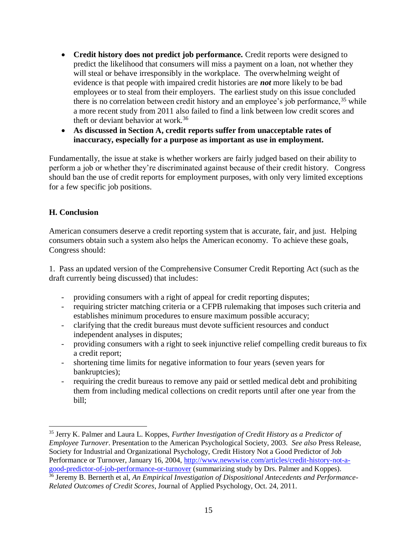- **Credit history does not predict job performance.** Credit reports were designed to predict the likelihood that consumers will miss a payment on a loan, not whether they will steal or behave irresponsibly in the workplace. The overwhelming weight of evidence is that people with impaired credit histories are *not* more likely to be bad employees or to steal from their employers. The earliest study on this issue concluded there is no correlation between credit history and an employee's job performance,  $35$  while a more recent study from 2011 also failed to find a link between low credit scores and theft or deviant behavior at work.<sup>36</sup>
- **As discussed in Section A, credit reports suffer from unacceptable rates of inaccuracy, especially for a purpose as important as use in employment.**

Fundamentally, the issue at stake is whether workers are fairly judged based on their ability to perform a job or whether they're discriminated against because of their credit history. Congress should ban the use of credit reports for employment purposes, with only very limited exceptions for a few specific job positions.

### **H. Conclusion**

 $\overline{a}$ 

American consumers deserve a credit reporting system that is accurate, fair, and just. Helping consumers obtain such a system also helps the American economy. To achieve these goals, Congress should:

1. Pass an updated version of the Comprehensive Consumer Credit Reporting Act (such as the draft currently being discussed) that includes:

- providing consumers with a right of appeal for credit reporting disputes;
- requiring stricter matching criteria or a CFPB rulemaking that imposes such criteria and establishes minimum procedures to ensure maximum possible accuracy;
- clarifying that the credit bureaus must devote sufficient resources and conduct independent analyses in disputes;
- providing consumers with a right to seek injunctive relief compelling credit bureaus to fix a credit report;
- shortening time limits for negative information to four years (seven years for bankruptcies);
- requiring the credit bureaus to remove any paid or settled medical debt and prohibiting them from including medical collections on credit reports until after one year from the bill;

<sup>35</sup> Jerry K. Palmer and Laura L. Koppes, *Further Investigation of Credit History as a Predictor of Employee Turnover*. Presentation to the American Psychological Society, 2003. *See also* Press Release, Society for Industrial and Organizational Psychology, Credit History Not a Good Predictor of Job Performance or Turnover, January 16, 2004, [http://www.newswise.com/articles/credit-history-not-a](http://www.newswise.com/articles/credit-history-not-a-good-predictor-of-job-performance-or-turnover)[good-predictor-of-job-performance-or-turnover](http://www.newswise.com/articles/credit-history-not-a-good-predictor-of-job-performance-or-turnover) (summarizing study by Drs. Palmer and Koppes).

<sup>36</sup> Jeremy B. Bernerth et al, *An Empirical Investigation of Dispositional Antecedents and Performance-Related Outcomes of Credit Scores*, Journal of Applied Psychology, Oct. 24, 2011.